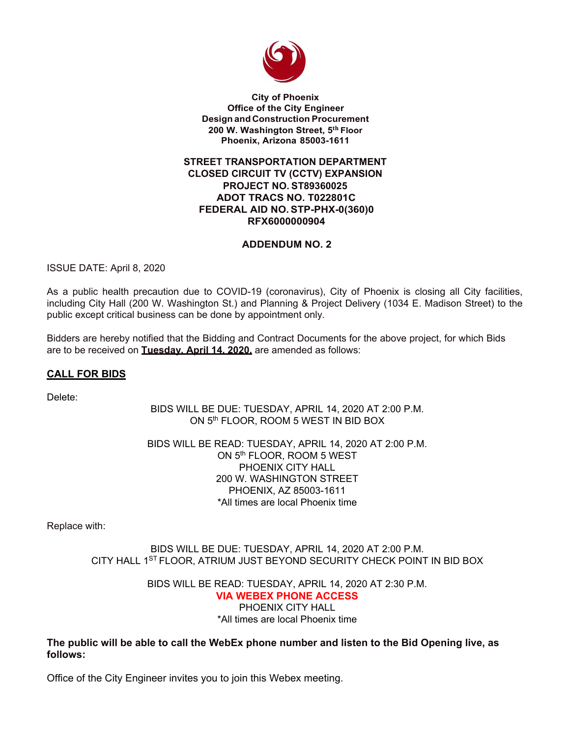

**City of Phoenix Office of the City Engineer Design and Construction Procurement 200 W. Washington Street, 5th Floor Phoenix, Arizona 85003-1611**

#### **STREET TRANSPORTATION DEPARTMENT CLOSED CIRCUIT TV (CCTV) EXPANSION PROJECT NO. ST89360025 ADOT TRACS NO. T022801C FEDERAL AID NO. STP-PHX-0(360)0 RFX6000000904**

#### **ADDENDUM NO. 2**

ISSUE DATE: April 8, 2020

As a public health precaution due to COVID-19 (coronavirus), City of Phoenix is closing all City facilities, including City Hall (200 W. Washington St.) and Planning & Project Delivery (1034 E. Madison Street) to the public except critical business can be done by appointment only.

Bidders are hereby notified that the Bidding and Contract Documents for the above project, for which Bids are to be received on **Tuesday, April 14, 2020,** are amended as follows:

### **CALL FOR BIDS**

Delete:

BIDS WILL BE DUE: TUESDAY, APRIL 14, 2020 AT 2:00 P.M. ON 5th FLOOR, ROOM 5 WEST IN BID BOX

BIDS WILL BE READ: TUESDAY, APRIL 14, 2020 AT 2:00 P.M. ON 5th FLOOR, ROOM 5 WEST PHOENIX CITY HALL 200 W. WASHINGTON STREET PHOENIX, AZ 85003-1611 \*All times are local Phoenix time

Replace with:

BIDS WILL BE DUE: TUESDAY, APRIL 14, 2020 AT 2:00 P.M. CITY HALL 1ST FLOOR, ATRIUM JUST BEYOND SECURITY CHECK POINT IN BID BOX

> BIDS WILL BE READ: TUESDAY, APRIL 14, 2020 AT 2:30 P.M. **VIA WEBEX PHONE ACCESS**  PHOENIX CITY HALL \*All times are local Phoenix time

**The public will be able to call the WebEx phone number and listen to the Bid Opening live, as follows:** 

Office of the City Engineer invites you to join this Webex meeting.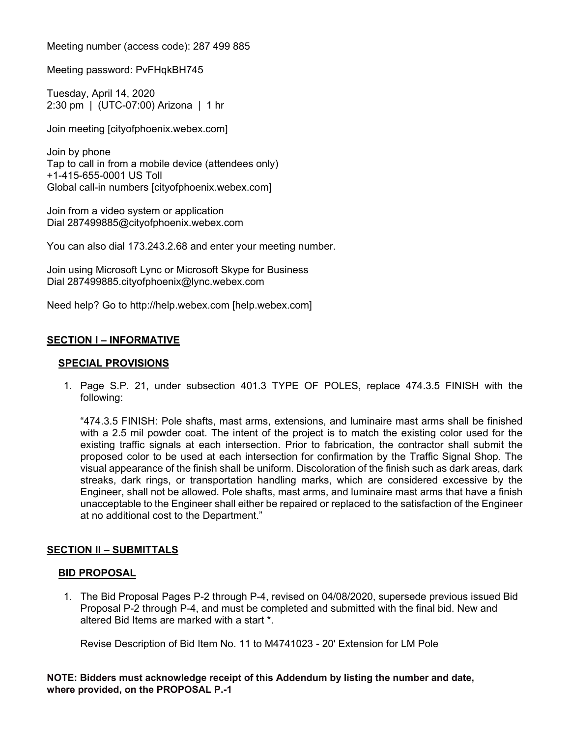Meeting number (access code): 287 499 885

Meeting password: PvFHqkBH745

Tuesday, April 14, 2020 2:30 pm | (UTC-07:00) Arizona | 1 hr

Join meeting [cityofphoenix.webex.com]

Join by phone Tap to call in from a mobile device (attendees only) +1-415-655-0001 US Toll Global call-in numbers [cityofphoenix.webex.com]

Join from a video system or application Dial 287499885@cityofphoenix.webex.com

You can also dial 173.243.2.68 and enter your meeting number.

Join using Microsoft Lync or Microsoft Skype for Business Dial 287499885.cityofphoenix@lync.webex.com

Need help? Go to http://help.webex.com [help.webex.com]

### **SECTION I – INFORMATIVE**

#### **SPECIAL PROVISIONS**

1. Page S.P. 21, under subsection 401.3 TYPE OF POLES, replace 474.3.5 FINISH with the following:

"474.3.5 FINISH: Pole shafts, mast arms, extensions, and luminaire mast arms shall be finished with a 2.5 mil powder coat. The intent of the project is to match the existing color used for the existing traffic signals at each intersection. Prior to fabrication, the contractor shall submit the proposed color to be used at each intersection for confirmation by the Traffic Signal Shop. The visual appearance of the finish shall be uniform. Discoloration of the finish such as dark areas, dark streaks, dark rings, or transportation handling marks, which are considered excessive by the Engineer, shall not be allowed. Pole shafts, mast arms, and luminaire mast arms that have a finish unacceptable to the Engineer shall either be repaired or replaced to the satisfaction of the Engineer at no additional cost to the Department."

### **SECTION II – SUBMITTALS**

#### **BID PROPOSAL**

1. The Bid Proposal Pages P-2 through P-4, revised on 04/08/2020, supersede previous issued Bid Proposal P-2 through P-4, and must be completed and submitted with the final bid. New and altered Bid Items are marked with a start \*.

Revise Description of Bid Item No. 11 to M4741023 - 20' Extension for LM Pole

#### **NOTE: Bidders must acknowledge receipt of this Addendum by listing the number and date, where provided, on the PROPOSAL P.-1**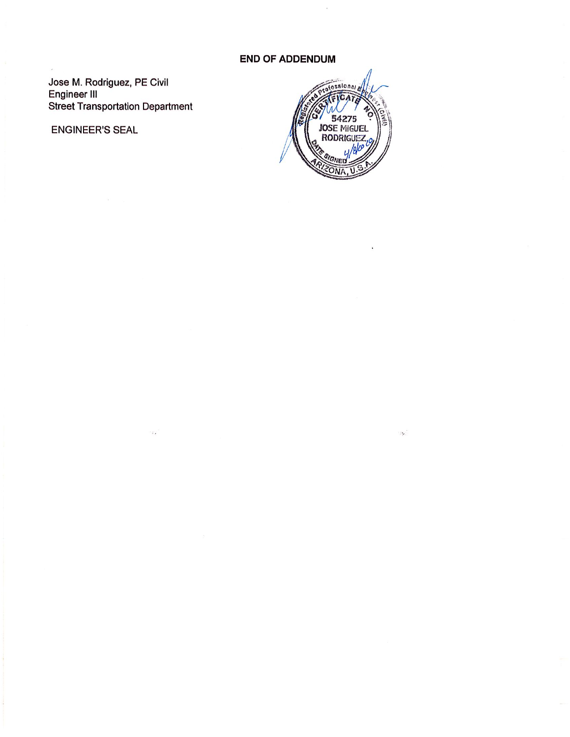## **END OF ADDENDUM**

Jose M. Rodriguez, PE Civil<br>Engineer III **Street Transportation Department** 

**ENGINEER'S SEAL** 



 $\mathcal{L}_{\mathbf{z}}$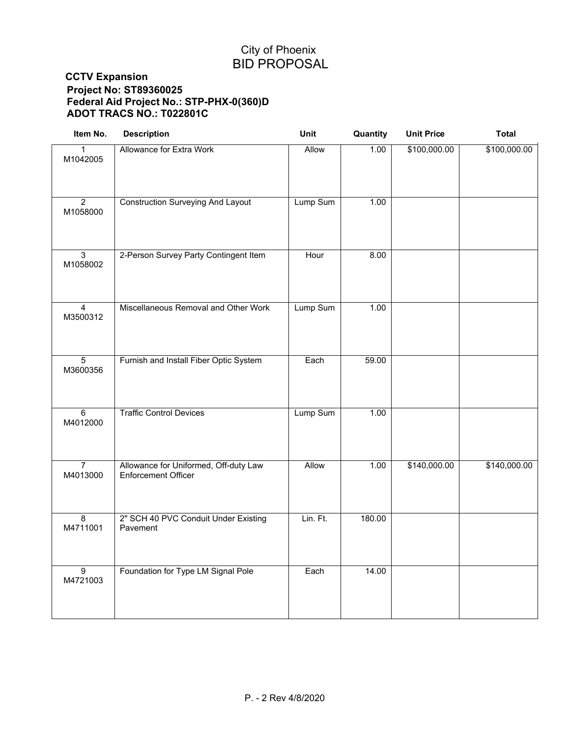# City of Phoenix BID PROPOSAL

## **CCTV Expansion Project No: ST89360025 Federal Aid Project No.: STP-PHX-0(360)D ADOT TRACS NO.: T022801C**

| Item No.                   | <b>Description</b>                                                  | Unit         | Quantity | <b>Unit Price</b> | <b>Total</b> |
|----------------------------|---------------------------------------------------------------------|--------------|----------|-------------------|--------------|
| M1042005                   | Allowance for Extra Work                                            | <b>Allow</b> | 1.00     | \$100,000.00      | \$100,000.00 |
| $\overline{2}$<br>M1058000 | <b>Construction Surveying And Layout</b>                            | Lump Sum     | 1.00     |                   |              |
| $\overline{3}$<br>M1058002 | 2-Person Survey Party Contingent Item                               | Hour         | 8.00     |                   |              |
| $\overline{4}$<br>M3500312 | Miscellaneous Removal and Other Work                                | Lump Sum     | 1.00     |                   |              |
| $\overline{5}$<br>M3600356 | Furnish and Install Fiber Optic System                              | Each         | 59.00    |                   |              |
| $\overline{6}$<br>M4012000 | <b>Traffic Control Devices</b>                                      | Lump Sum     | 1.00     |                   |              |
| $\overline{7}$<br>M4013000 | Allowance for Uniformed, Off-duty Law<br><b>Enforcement Officer</b> | Allow        | 1.00     | \$140,000.00      | \$140,000.00 |
| 8<br>M4711001              | 2" SCH 40 PVC Conduit Under Existing<br>Pavement                    | Lin. Ft.     | 180.00   |                   |              |
| $\overline{9}$<br>M4721003 | Foundation for Type LM Signal Pole                                  | Each         | 14.00    |                   |              |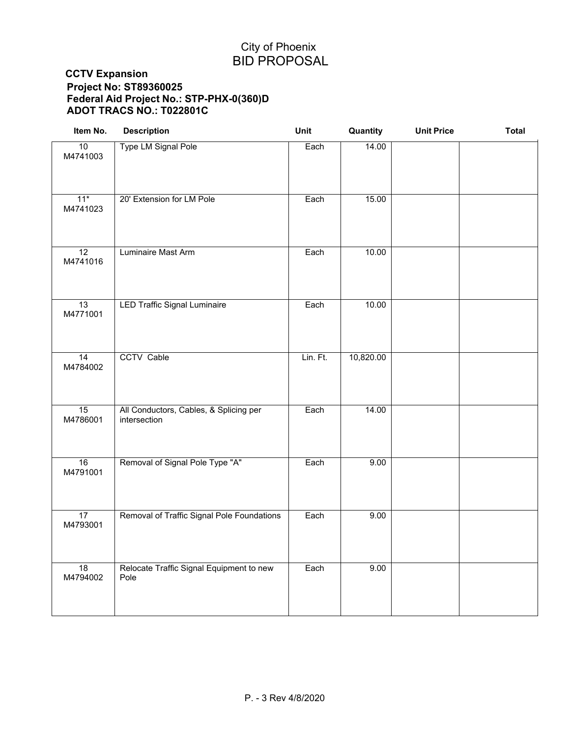# City of Phoenix BID PROPOSAL

## **CCTV Expansion Project No: ST89360025 Federal Aid Project No.: STP-PHX-0(360)D ADOT TRACS NO.: T022801C**

| Item No.                    | <b>Description</b>                                     | Unit     | Quantity  | <b>Unit Price</b> | <b>Total</b> |
|-----------------------------|--------------------------------------------------------|----------|-----------|-------------------|--------------|
| 10<br>M4741003              | Type LM Signal Pole                                    | Each     | 14.00     |                   |              |
| $11*$<br>M4741023           | 20' Extension for LM Pole                              | Each     | 15.00     |                   |              |
| 12<br>M4741016              | Luminaire Mast Arm                                     | Each     | 10.00     |                   |              |
| 13<br>M4771001              | <b>LED Traffic Signal Luminaire</b>                    | Each     | 10.00     |                   |              |
| $\overline{14}$<br>M4784002 | <b>CCTV Cable</b>                                      | Lin. Ft. | 10,820.00 |                   |              |
| 15<br>M4786001              | All Conductors, Cables, & Splicing per<br>intersection | Each     | 14.00     |                   |              |
| 16<br>M4791001              | Removal of Signal Pole Type "A"                        | Each     | 9.00      |                   |              |
| $\overline{17}$<br>M4793001 | Removal of Traffic Signal Pole Foundations             | Each     | 9.00      |                   |              |
| 18<br>M4794002              | Relocate Traffic Signal Equipment to new<br>Pole       | Each     | 9.00      |                   |              |